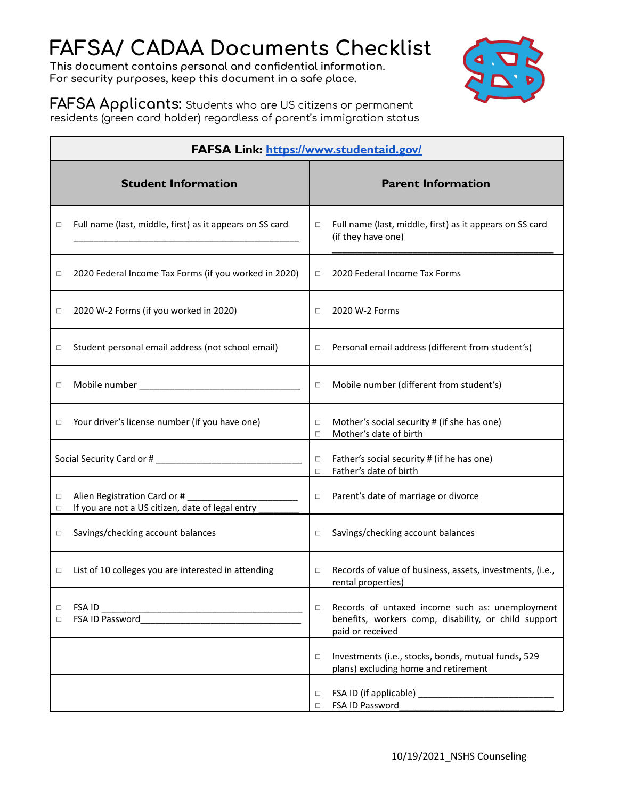# **FAFSA/ CADAA Documents Checklist**

**This document contains personal and confidential information. For security purposes, keep this document in a safe place.**



**FAFSA Applicants:** Students who are US citizens or permanent residents (green card holder) regardless of parent's immigration status

| <b>FAFSA Link: https://www.studentaid.gov/</b>                                                  |                                                                                                                                       |  |  |
|-------------------------------------------------------------------------------------------------|---------------------------------------------------------------------------------------------------------------------------------------|--|--|
| <b>Student Information</b>                                                                      | <b>Parent Information</b>                                                                                                             |  |  |
| Full name (last, middle, first) as it appears on SS card<br>□                                   | Full name (last, middle, first) as it appears on SS card<br>$\Box$<br>(if they have one)                                              |  |  |
| 2020 Federal Income Tax Forms (if you worked in 2020)<br>□                                      | 2020 Federal Income Tax Forms<br>$\Box$                                                                                               |  |  |
| 2020 W-2 Forms (if you worked in 2020)<br>□                                                     | 2020 W-2 Forms<br>$\Box$                                                                                                              |  |  |
| Student personal email address (not school email)<br>□                                          | Personal email address (different from student's)<br>$\Box$                                                                           |  |  |
| □                                                                                               | Mobile number (different from student's)<br>$\Box$                                                                                    |  |  |
| Your driver's license number (if you have one)<br>□                                             | Mother's social security # (if she has one)<br>□<br>Mother's date of birth<br>$\Box$                                                  |  |  |
|                                                                                                 | Father's social security # (if he has one)<br>$\Box$<br>Father's date of birth<br>$\Box$                                              |  |  |
| Alien Registration Card or #<br>□<br>If you are not a US citizen, date of legal entry<br>$\Box$ | Parent's date of marriage or divorce<br>$\Box$                                                                                        |  |  |
| Savings/checking account balances<br>□                                                          | Savings/checking account balances<br>$\Box$                                                                                           |  |  |
| List of 10 colleges you are interested in attending<br>□                                        | Records of value of business, assets, investments, (i.e.,<br>$\Box$<br>rental properties)                                             |  |  |
| □<br>FSA ID Password<br>$\Box$                                                                  | Records of untaxed income such as: unemployment<br>$\Box$<br>benefits, workers comp, disability, or child support<br>paid or received |  |  |
|                                                                                                 | Investments (i.e., stocks, bonds, mutual funds, 529<br>$\Box$<br>plans) excluding home and retirement                                 |  |  |
|                                                                                                 | $\Box$<br>FSA ID Password<br>□                                                                                                        |  |  |